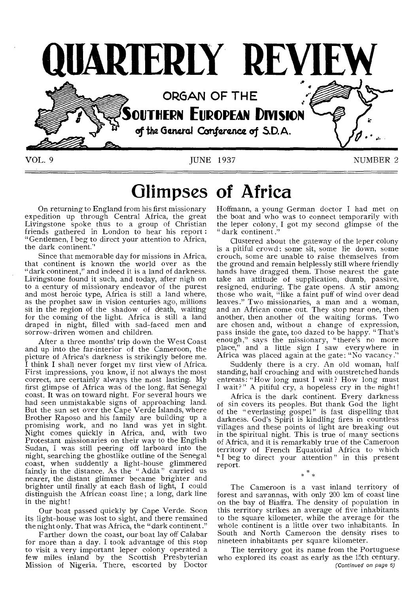

**Glimpses of Africa** 

On returning to England from his first missionary expedition up through Central Africa, the great Livingstone spoke thus to a group of Christian friends gathered in London to hear his report: "Gentlemen, I beg to direct your attention to Africa, the dark continent."

Since that memorable day for missions in Africa, that continent is known the world over as the "dark continent," and indeed it is a land of darkness. Livingstone found it such, and today, after nigh on to a century of missionary endeavor of the purest and most heroic type, Africa is still a land where, as the prophet saw in vision centuries ago, millions sit in the region of the shadow of death, waiting for the coming of the light. Africa is still a land draped in night, filled with sad-faced men and sorrow-driven women and children.

After a three months' trip down the West Coast and up into the far-interior of the Cameroon, the picture of Africa's darkness is strikingly before me. I think I shall never forget my first view of Africa. First impressions, you know, if not always the most correct, are certainly always the most lasting. My first glimpse of Africa was of the long, flat Senegal coast. It was on toward night. For several hours we had seen unmistakable signs of approaching land. But the sun set over the Cape Verde Islands, where Brother Raposo and his family are building up a promising work, and no land was yet in sight. Night comes quickly in Africa, and, with two Protestant missionaries on their way to the English Sudan, I was still peering off larboard into the night, searching the ghostlike outline of the Senegal coast, when suddently a light-house glimmered faintly in the distance. As the " Adda" carried us nearer, the distant glimmer became brighter and brighter until finally at each flash of light, I could distinguish the African coast line ; a long, dark line in the night!

Our boat passed quickly by Cape Verde. Soon its light-house was lost to sight, and there remained the night only. That was Africa, the "dark continent ."

Farther down the coast, our boat lay off Calabar for more than a day. I took advantage of this stop to visit a very important leper colony operated a few miles inland by the Scottish Presbyterian Mission of Nigeria. There, escorted by Doctor Hoffmann, a young German doctor I had met on the boat and who was to connect temporarily with the leper colony, I got my second glimpse of the " dark continent ."

Clustered about the gateway of the leper colony is a pitiful crowd: some sit, some lie down, some crouch, some are unable to raise themselves from the ground and remain helplessly still where friendly hands have dragged them. Those nearest the gate take an attitude of supplication, dumb, passive, resigned, enduring. The gate opens. A stir among those who wait, "like a faint puff of wind over dead leaves." Two missionaries, a man and a woman, and an African come out. They stop near one, then another, then another of the waiting forms. Two are chosen and, without a change of expression, pass inside the gate, too dazed to be happy. "That's enough," says the missionary, "there's no more place," and a little sign I saw everywhere in Africa was placed again at the gate: "No vacancy."

Suddenly there is a cry. An old woman, half standing, half crouching and with outstretched hands entreats: "How long must I wait? How long must I wait?" A pitiful cry, a hopeless cry in the night!

Africa is the dark continent. Every darkness of sin covers its peoples. But thank God the light of the "everlasting gospel" is fast dispelling that darkness. God's Spirit is kindling fires in countless villages and these points of light are breaking out in the spiritual night. This is true of many sections of Africa, and it is remarkably true of the Cameroon territory of French Equatorial Africa to which "I beg to direct your attention" in this present report. \* \*

The Cameroon is a vast inland territory of forest and savannas, with only 200 km of coast line on the bay of Biaffra. The density of population in this territory strikes an average of five inhabitants to the square kilometer, while the average for the whole continent is a little over two inhabitants. In South and North Cameroon the density rises to nineteen inhabitants per square kilometer.

The territory got its name from the Portuguese who explored its coast as early as the 15th century. (Continued on page 6)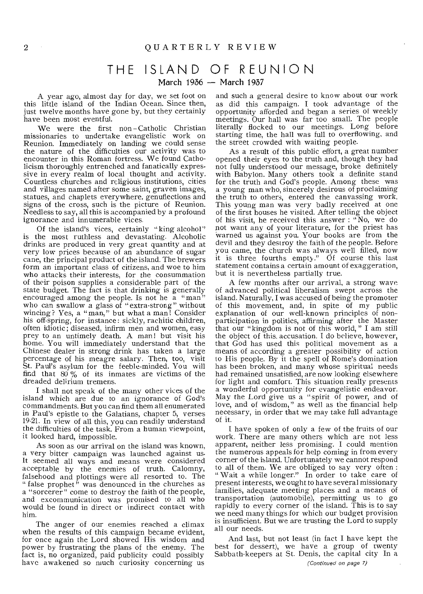# THE ISLAND OF REUNION

March 1936 — March 1937

A year ago, almost day for day, we set foot on this little island of the Indian Ocean. Since then, just twelve months have gone by, but they certainly have been most eventful.

We were the first non-Catholic Christian missionaries to undertake evangelistic work on Reunion. Immediately on landing we could sense the nature of the difficulties our activity was to encounter in this Roman fortress. We found Catholicism thoroughly entrenched and fanatically expressive in every realm of local thought and activity. Countless churches and religious institutions, cities and villages named after some saint, graven images, statues, and chaplets everywhere, genuflections and signs of the cross, such is the picture of Reunion. Needless to say, all this is accompanied by a profound ignorance and innumerable vices.

Of the island's vices, certainly "king alcohol" is the most ruthless and devastating. Alcoholic drinks are produced in very great quantity and at very low prices because of an abundance of sugar cane, the principal product of the island. The brewers form an important class of citizens, and woe to him who attacks their interests, for the consummation of their poison supplies a considerable part of the state budget. The fact is that drinking is generally encouraged among the people. Is not he  $a$  "man" who can swallow a glass of "extra-strong" without wincing ? Yes, a " man," but what a man! Consider his off-spring, for instance: sickly, rachitic children, often idiotic ; diseased, infirm men and women, easy prey to an untimely death. A man! but visit his home. You will immediately understand that the Chinese dealer in strong drink has taken a large percentage of his meagre salary. Then, too, visit St. Paul's asylum for the feeble-minded. You will find that  $80\%$  of its inmates are victims of the dreaded delirium tremens.

I shall not speak of the many other vices of the island which are due to an ignorance of God's commandments. But you can find them all enumerated in Paul's epistle to the Galatians, chapter 5, verses 19-21. In view of all this, you can readily understand the difficulties of the task. From a human viewpoint, it looked hard, impossible.

As soon as our arrival on the island was known, a very bitter campaign was launched against us. It seemed all ways and means were considered acceptable by the enemies of truth. Calomny, falsehood and plottings were all resorted to. The " false prophet  $\ddot{v}$  was denounced in the churches as a "sorcerer" come to destroy the faith of the people, and excommunication was promised to all who would be found in direct or indirect contact with him.

The anger of our enemies reached a climax when the results of this campaign became evident, for once again the Lord showed His wisdom and power by frustrating the plans of the enemy. The fact is, no organized, paid publicity could possibly have awakened so much curiosity concerning us

and such a general desire to know about our work as did this campaign. I took advantage of the opportunity afforded and began a series of weekly meetings. Our hall was far too small. The people literally flocked to our meetings. Long before starting time, the hall was full to overflowing, and the street crowded with waiting people.

As a result of this public effort, a great number opened their eyes to the truth and, though they had not fully understood our message, broke definitely with Babylon. Many others took a definite stand for the truth and God's people. Among these was a young man who, sincerely desirous of proclaiming the truth to others, entered the canvassing work. This young man was very badly received at one of the first houses he visited. After telling the object of his visit, he received this answer : "No, we do not want any of your literature, for the priest has Warned us against you. Your books are from the devil and they destroy the faith of the people. Before you came, the church was always well filled, now it is three fourths empty." Of course this last statement contains a certain amount of exaggeration, but it is nevertheless partially true.

A few months after our arrival, a strong wave of advanced political liberalism swept across the island. Naturally, I was accused of being the promoter of this movement, and, in spite of my public explanation of our well-known principles of nonparticipation in politics, affirming after the Master that our "kingdom is not of this world, " I am still the object of this. accusation. I do believe, however, that God has used this political movement as a means of according a greater possibility of action to His people. By it the spell of Rome's domination has been broken, and many whose spiritual needs had remained unsatisfied, are now looking elsewhere for light and comfort. This situation really presents a wonderful opportunity for evangelistic endeavor. May the Lord give us a "spirit of power, and of love, and of wisdom," as well as the financial help necessary, in order that we may take full advantage of it.

I have spoken of only a few of the fruits of our work. There are many others which are not less apparent, neither less promising. I could mention the numerous appeals for help coming in from every corner of the island. Unfortunately we cannot respond to all of them. We are obliged to say very often : " Wait a while longer." In order to take care of present interests, we ought to have several missionary families, adequate meeting places and a means of transportation (automobile), permitting us to go rapidly to every corner of the island. This is to say we need many things for which our budget provision is insufficient. But we are trusting the Lord to supply all our needs.

And last, but not least (in fact I have kept the best for dessert), we have a group of twenty Sabbath-keepers at St. Denis, the capital city In a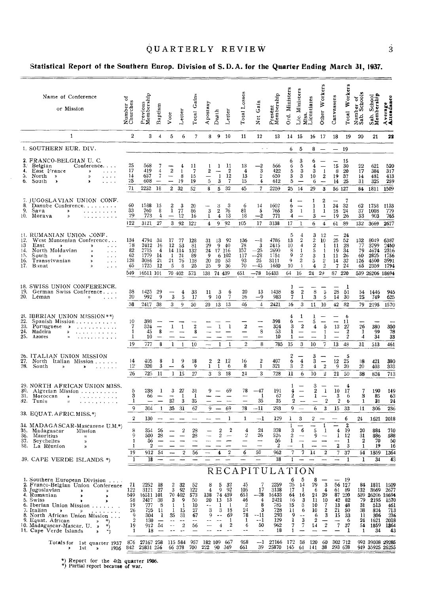# QUARTERLY REVIEW

### Statistical Report of the Southern Europ. Division of S.D.A. for the Quarter Ending March 31, 1937.

| Name of Conference<br>or Mission                                                                                                                                                                                                                                                                                                                                                                                            | ഁ<br>Number o:<br>Churches                                         | Previous<br>Membership                                                                                    | Baptism                                              | Vote                                                               | Letter                                                   | Gains<br><b>Total</b>                                                                   | Apostasy                                                              | Death                                        | Letter                                                                | Total Losses                                                                     | Net Gain                                                                   | Present<br>Membership                                                  | Ord Ministers                                                    | Lic. Ministers                                                                                          | Miss.<br>Licentiates                                                          | Other Workers                                                                                                 | Canvassers                                                           | Total Workers                                                               | Number of<br>Sab. Schools                          | Sab. School<br>Membership                                                                 | Average<br>Attendance                                           |
|-----------------------------------------------------------------------------------------------------------------------------------------------------------------------------------------------------------------------------------------------------------------------------------------------------------------------------------------------------------------------------------------------------------------------------|--------------------------------------------------------------------|-----------------------------------------------------------------------------------------------------------|------------------------------------------------------|--------------------------------------------------------------------|----------------------------------------------------------|-----------------------------------------------------------------------------------------|-----------------------------------------------------------------------|----------------------------------------------|-----------------------------------------------------------------------|----------------------------------------------------------------------------------|----------------------------------------------------------------------------|------------------------------------------------------------------------|------------------------------------------------------------------|---------------------------------------------------------------------------------------------------------|-------------------------------------------------------------------------------|---------------------------------------------------------------------------------------------------------------|----------------------------------------------------------------------|-----------------------------------------------------------------------------|----------------------------------------------------|-------------------------------------------------------------------------------------------|-----------------------------------------------------------------|
| $\mathbf{1}$                                                                                                                                                                                                                                                                                                                                                                                                                | $\mathbf{2}$                                                       | 3                                                                                                         | $\overline{4}$                                       | 5                                                                  | 6                                                        | 7                                                                                       |                                                                       | 8 9 10                                       |                                                                       | 11                                                                               | 12                                                                         | 13                                                                     | 14 15                                                            |                                                                                                         | 16 17                                                                         |                                                                                                               | 18                                                                   | 19                                                                          | 20                                                 | 21                                                                                        | 22                                                              |
| 1. SOUTHERN EUR. DIV.                                                                                                                                                                                                                                                                                                                                                                                                       |                                                                    |                                                                                                           |                                                      |                                                                    |                                                          |                                                                                         |                                                                       |                                              |                                                                       |                                                                                  | $\omega \rightarrow \infty$                                                |                                                                        | 6                                                                | 5                                                                                                       |                                                                               | $8 -$                                                                                                         | $\overline{\phantom{m}}$                                             | - 19                                                                        |                                                    |                                                                                           |                                                                 |
| 2. FRANCO-BELGIAN U. C.<br>3.<br>Belgian<br>Conference<br>East France<br>4.<br>$\rightarrow$<br>$\alpha$ , $\alpha$ , $\alpha$ , $\alpha$<br>5.<br>North »<br>$\mathbf{v}$<br>$\cdots$<br>6.<br>South<br>$\blacktriangleright$<br>×<br>.                                                                                                                                                                                    | 25<br>17<br>14<br>25<br>71                                         | 568<br>419<br>657<br>608<br>2252                                                                          | 7<br>4<br>7<br>18                                    | $\boldsymbol{2}$<br>--<br>$\qquad \qquad \qquad$<br>$\overline{2}$ | 4<br>1<br>8<br>19<br>32                                  | 11<br>7<br>15<br>19<br>52                                                               | 1<br>2<br>$\mathbf 5$<br>8                                            | 1<br>-1<br>3                                 | 11<br>$\boldsymbol{2}$<br>12<br>7<br>$5 \t32$                         | 13<br>$\overline{\mathbf{4}}$<br>13<br>15<br>45                                  | $^{-2}$<br>3<br>$\boldsymbol{2}$<br>4<br>$\overline{\mathcal{L}}$          | 566<br>422<br>659<br>612<br>2259                                       | 6<br>6<br>5<br>3<br>5<br>25                                      | 3<br>5<br>3<br>3<br>-14                                                                                 | 6<br>4<br>3<br>10<br>6<br>29                                                  | -1<br>$\boldsymbol{2}$<br>$\overline{\phantom{0}}$<br>3                                                       | 15<br>8<br>19<br>14<br>56 127                                        | 15<br>30<br>20<br>37<br>- 25                                                | 22<br>17<br>14<br>31                               | 621<br>384<br>481<br>325<br>84 1811                                                       | 520<br>317<br>413<br>259<br>1509                                |
| 7. JUGOSLAVIAN UNION CONF.<br>8.<br>Danube Conference<br>9.<br>Sava<br>»<br>بمناور والمناور والوالون<br>10.<br>Moraya<br>»                                                                                                                                                                                                                                                                                                  | 60<br>33<br>29<br>122                                              | 1588<br>760<br>773<br>3121 27                                                                             | 15<br>8<br>$\overline{4}$                            | $\frac{2}{1}$<br>$\overline{\phantom{m}}$                          | $\frac{3}{77}$<br>12<br>$3\quad 92$                      | 20<br>86<br>16<br>122                                                                   | $\,3$<br>1<br>4                                                       | з<br>$\boldsymbol{2}$<br>$\overline{4}$<br>9 | 3<br>76<br>13<br>92                                                   | 6<br>81<br>18<br>105                                                             | 14<br>5<br>$^{-2}$<br>17                                                   | 1602<br>765<br>771<br>3138                                             | 4<br>6<br>3<br>4<br>17                                           | $\overline{\phantom{0}}$<br>$\mathbf{1}$<br>$\overline{\phantom{0}}$<br>1                               | 1<br>1<br>1<br>3<br>6                                                         | 2<br>1<br>1<br>-<br>$\overline{4}$                                                                            | 24<br>18<br>19<br>61                                                 | 7<br>32<br>24<br>26<br>- 89                                                 | 62<br>37<br>33<br>132                              | 1758<br>1008<br>903<br>3669                                                               | 1133<br>779<br>765<br>2677                                      |
| 11. RUMANIAN UNION CONF.<br>12.<br>West Muntenian Conference<br>13<br>East<br>»<br>$\pmb{\ast}$<br>$\cdots$<br>North Moldavian<br>14.<br>$\alpha$ , $\alpha$ , $\alpha$<br>$\boldsymbol{\varkappa}$<br>15.<br>South<br>$\mathbf{v}$<br>$\ldots$<br>₩<br>Transylvanian<br>16.<br>»<br>$\sim$ $\sim$ $\sim$<br>17. Banat<br>$\boldsymbol{v}$<br>$\sim$ $\sim$                                                                 | 134<br>78<br>82<br>62<br>128<br>65<br>549                          | 4794<br>2412<br>2715<br>1779<br>3086<br>1725<br>16511 101                                                 | 34<br>16<br>4<br>14<br>-21<br>12                     | 17<br>12<br>-1<br>5                                                | -77<br>- 53<br>14 114<br>-74<br>21 76<br>8<br>70 402 573 | 128<br>- 81<br>132<br>89<br>118<br>25                                                   | 31<br>29<br>24<br>9<br>20<br>25<br>138 74 439                         | 13<br>17 116<br>20 53<br>9                   | - 92<br>940<br>6 102<br>-36                                           | 136<br>78<br>157<br>117<br>93<br>70<br>651                                       | $-8$<br>3<br>$-25$<br>$-28$<br>25<br>$-45$<br>$-78$                        | 4786<br>2415<br>2690<br>1751<br>3111<br>1680<br>16433                  | 5<br>13<br>10<br>8<br>ğ<br>9<br>10<br>64                         | $\boldsymbol{2}$<br>$\boldsymbol{4}$<br>$\mathbf{1}$<br>$\overline{2}$<br>$\,2\,$<br>$\mathbf{1}$<br>16 | 3<br>$\overline{2}$<br>$\boldsymbol{2}$<br>5<br>3<br>5<br>4<br>24             | -12<br>10<br>-1<br>$\mathbf{1}$<br>$\mathbf{1}$<br>$\boldsymbol{2}$<br>$\sqrt{2}$<br>29                       | $25\,$<br>11<br>19<br>11<br>14<br>$\overline{\mathcal{L}}$<br>87 220 | 24<br>52<br>28<br>34<br>26<br>32<br>24                                      | 132<br>77<br>79<br>60<br>126<br>65                 | 8049<br>3799<br>4674 2316<br>2825<br>4500<br>2359<br>539 26206 18694                      | 6387<br>2450<br>1756<br>3991<br>1794                            |
| 18. SWISS UNION CONFERENCE.<br>19. German Swiss Conference<br>20. Léman<br>$\mathfrak{D}$<br>$\sim$ $\sim$ $\sim$ $\sim$                                                                                                                                                                                                                                                                                                    | 38<br>20<br>58                                                     | 1425<br>992<br>2417                                                                                       | 29<br>9<br>38                                        | 3<br>3                                                             | 4<br>5<br>9                                              | 33<br>17<br>50                                                                          | 11<br>9<br>20                                                         | 3<br>10<br>13                                | 6<br>7<br>-13                                                         | 20<br>26<br>46                                                                   | 13<br>$-9$<br>$\overline{4}$                                               | 1438<br>983<br>2421                                                    | 1<br>8<br>$\overline{\mathbf{z}}$<br>16                          | $\overline{2}$<br>$\mathbf{I}$<br>3                                                                     | 8<br>3                                                                        | 5<br>5<br>$11 - 10$                                                                                           | 28<br>14<br>42 82                                                    | 1<br>51<br>30                                                               | 54<br>25<br>79                                     | 1446<br>749<br>2195                                                                       | 945<br>625<br>1570                                              |
| 21. IBERIAN UNION MISSION ** ><br>22.<br>Spanish Mission<br>23.<br>Portuguese »<br>.<br>24.<br>Madeira<br>X)<br>.<br>25.<br>Azores<br>$\boldsymbol{v}$                                                                                                                                                                                                                                                                      | 10<br>7<br>1<br>1<br>19                                            | 398<br>324<br>45<br>10<br>777                                                                             | 8<br>8                                               | 1<br>1                                                             | 1<br>--<br>$\mathbf{1}$                                  | $\,2\,$<br>8<br>10                                                                      | -                                                                     | 1<br>I.                                      | -1<br>$\mathbf{1}$                                                    | $\boldsymbol{2}$<br>—<br>$\overline{2}$                                          | 8<br>8                                                                     | 398<br>324<br>53<br>10<br>785                                          | 4<br>6<br>3<br>ı<br>1<br>15                                      | -1<br>$\boldsymbol{2}$<br>$\hspace{0.05cm}$<br>3                                                        | ı<br>5<br>4<br>10                                                             | 5<br>$\mathbf{1}$<br>1<br>7                                                                                   | 13<br>$\frac{1}{2}$<br>13                                            | 6<br>-11<br>27<br>$\boldsymbol{2}$<br>$\boldsymbol{2}$<br>48                | 26<br>1<br>4<br>31                                 | 380<br>99<br>34<br>513                                                                    | 350<br>78<br>33<br>461                                          |
| 26. ITALIAN UNION MISSION<br>27. North Italian Mission<br>28. South<br>$\mathbf{r}$<br><b>Allen Allen</b>                                                                                                                                                                                                                                                                                                                   | 14<br>$12^{\circ}$<br>26                                           | 405<br>320<br>725                                                                                         | 8<br>3<br>-11                                        | 1<br>--<br>$\mathbf{1}$                                            | 9<br>6<br>15                                             | 18<br>9<br>27                                                                           | 2<br>1<br>$\mathbf{3}$                                                | $\boldsymbol{2}$<br>$\mathbf{1}$<br>3        | 12<br>6<br>18                                                         | 16<br>8<br>24                                                                    | $\boldsymbol{2}$<br>$\mathbf{I}$<br>3                                      | 407<br>321<br>728                                                      | 2<br>6<br>3<br>n                                                 | 4<br>$\boldsymbol{2}$<br>6                                                                              | 3<br>3<br>4<br>10                                                             | $\equiv$<br>$\overline{2}$<br>$\dot{2}$                                                                       | 12<br>9<br>21                                                        | 5<br>25<br>20<br>50                                                         | 18<br>20<br>38                                     | 421<br>403<br>824                                                                         | 380<br>333<br>713                                               |
| 29. NORTH AFRICAN UNION MISS.<br>30. Algerian Mission<br>31.<br>Moroccan<br>Ж<br>.<br>32. Tunis<br>y)<br>a caracteristic constants                                                                                                                                                                                                                                                                                          | 5<br>3<br>1<br>9                                                   | 238<br>66<br>304                                                                                          | 1<br>1                                               | 3<br>$\overline{\phantom{a}}$<br>32<br>35                          | 27<br>1<br>3<br>-31                                      | 31<br>1<br>35<br>67                                                                     | 9<br>9                                                                |                                              | 69<br>69                                                              | 78<br>----<br>78                                                                 | $-47$<br>-1<br>35<br>$-11$                                                 | 191<br>67<br>35<br>293                                                 | 1<br>4<br>2<br>$\overline{2}$<br>9                               | $\overline{\phantom{0}}$<br>$\overline{\phantom{a}}$                                                    | 3<br>$\boldsymbol{2}$<br>1<br>$\qquad \qquad -$<br>6                          | $\mathbf{I}$<br>---<br>$\boldsymbol{2}$<br>3                                                                  | 10<br>3<br>$\overline{2}$<br>15                                      | 4<br>17<br>-6<br>6<br>33                                                    | 7<br>з<br>1<br>11                                  | 190<br>85<br>31<br>306                                                                    | 149<br>63<br>24<br>236                                          |
| 33. EQUAT, AFRIC, MISS.*)                                                                                                                                                                                                                                                                                                                                                                                                   | $\boldsymbol{2}$                                                   | 130                                                                                                       |                                                      |                                                                    |                                                          |                                                                                         |                                                                       |                                              | 1                                                                     | 1                                                                                | $-1$                                                                       | 129                                                                    | ı                                                                | 3                                                                                                       | $\boldsymbol{2}$                                                              |                                                                                                               |                                                                      | 6                                                                           | $^{24}$                                            | 1621                                                                                      | 2018                                                            |
| 34. MADAGASCAR-Mascarene U.M.*)<br>35. Madagascar Mission<br>36.<br>Mauritius<br>n<br>37.<br>Seychelles<br>$\gg$<br>38. La Réunion<br>$\lambda$                                                                                                                                                                                                                                                                             | 8<br>9<br>1<br>1                                                   | 354<br>500<br>56<br>2                                                                                     | 28                                                   | $26 -$                                                             | $2^{\circ}$                                              | 28<br>28                                                                                | $\overline{\phantom{a}}$                                              | $\overline{2}$                               | $\overline{\mathbf{2}}$                                               | 4<br>2                                                                           | 24<br>26<br>-                                                              | 378<br>526<br>56<br>$\overline{2}$                                     | $\mathbf{1}$<br>$\mathbf{3}$<br>$\boldsymbol{2}$<br>1            | Ξ<br>6<br>1                                                                                             |                                                                               | $\mathbf{I}$<br>5 1                                                                                           | -<br>4<br>$\mathbf{I}$<br>---<br>$\mathbf 2$                         | $\overline{2}$<br>-19<br>12<br>1<br>$\overline{\mathbf{3}}$                 | 20<br>31<br>$\bf 2$<br>$\mathbf{1}$                | 884<br>886<br>70<br>19                                                                    | 710<br>588<br>50<br>16                                          |
| 39. CAPE VERDE ISLANDS *)                                                                                                                                                                                                                                                                                                                                                                                                   | 19<br>1                                                            | 912<br>18                                                                                                 | 54                                                   |                                                                    | $\overline{2}$                                           | 56                                                                                      |                                                                       | 4                                            | $\boldsymbol{2}$                                                      | 6                                                                                | 50                                                                         | 962<br>18                                                              | 7<br>$\mathbf{1}$                                                | 7                                                                                                       | 14                                                                            | $\overline{2}$                                                                                                | 7<br>$\overline{\phantom{0}}$                                        | 37<br>-1                                                                    | 54<br>1                                            | 1859<br>34                                                                                | 1364<br>43                                                      |
|                                                                                                                                                                                                                                                                                                                                                                                                                             |                                                                    |                                                                                                           |                                                      |                                                                    |                                                          |                                                                                         |                                                                       |                                              |                                                                       |                                                                                  |                                                                            | RECAPITULATION                                                         |                                                                  |                                                                                                         |                                                                               |                                                                                                               |                                                                      |                                                                             |                                                    |                                                                                           |                                                                 |
| 1. Southern European Division<br>2. Franco-Belgian Union Conference<br>3. Jugoslavian<br>Þ<br>X)<br>4 Rumanian<br>×<br>$\lambda$<br>5. Swiss<br>$\mathbf{v}$<br>6. Iberian Union Mission<br>7. Italian<br>₩<br>$\alpha$ , and $\alpha$ , and $\alpha$<br>8. North African Union Mission<br>9. Equat. African<br>*)<br>$\mathbf{v}$<br>10. Madagascar-Mascar. U. »<br>$^{*}$<br>11. Cape Verde Islands<br>٠,<br>$\mathbf{v}$ | 71<br>122<br>549<br>58<br>19<br>26<br>9<br>$\mathbf{2}$<br>19<br>1 | $\begin{array}{c} 2252 \\ 3121 \end{array}$<br>16511 101<br>2417<br>777<br>725<br>304<br>130<br>912<br>18 | 18<br>$\overline{27}$<br>-38<br>8<br>-11<br>-1<br>54 | $_{3}^{2}$<br>3<br>1<br>1<br>35<br>$\sim$ $-$                      | 32<br>92<br>70 402<br>9<br>1<br>15<br>31<br>$\mathbf{2}$ | $\frac{52}{122}$<br>573<br>50<br>10<br>27<br>67<br>--<br>56<br>$\overline{\phantom{0}}$ | 8<br>$\boldsymbol{4}$<br>138<br>20<br>$\sim$ $-$<br>$\mathbf{3}$<br>9 | 5<br>9<br>13<br>1<br>3<br>$-$<br>4           | 32<br>92<br>74 439<br>-13<br>-1<br>18<br>69<br>-1<br>$\boldsymbol{2}$ | 45<br>105<br>651<br>46<br>$\overline{2}$<br>24<br>78<br>1<br>6<br>$\overline{a}$ | 7<br>17<br>$-78$<br>4<br>8<br>3<br>$-11$<br>--1<br>50<br>$\equiv$ $\equiv$ | 2259<br>3138<br>16433<br>2421<br>785<br>728<br>293<br>129<br>962<br>18 | 6<br>$\frac{25}{17}$<br>64<br>16<br>15<br>11<br>9<br>1<br>7<br>1 | 5<br>14<br>-1<br>16<br>$\frac{3}{3}$<br>6<br>$-$<br>$\frac{3}{7}$                                       | 8<br>29<br>6<br>24<br>$\mathbf{u}$<br>10<br>10<br>6<br>$\boldsymbol{2}$<br>14 | $\boldsymbol{\mathsf{3}}$<br>4<br>29<br>10<br>$\overline{\mathcal{U}}$<br>$\boldsymbol{2}$<br>3<br>$\sqrt{2}$ | 42<br>13<br>21<br>15<br>$\overline{\phantom{0}}$<br>$\mathbf{7}$     | - 19<br>56 127<br>61 89<br>87 220<br>- 82<br>48<br>50<br>33<br>6<br>37<br>1 | 84<br>132<br>79<br>31<br>38<br>11<br>24<br>51<br>1 | 1811<br>3669<br>539 26206 18694<br>$\frac{2195}{513}$<br>824<br>306<br>1621<br>1859<br>34 | 1509<br>2677<br>1570<br>461<br>713<br>236<br>2018<br>1364<br>43 |
| Totals for 1st quarter 1937<br>lst<br>1936<br>$\ast$<br>$\rightarrow$                                                                                                                                                                                                                                                                                                                                                       | 876<br>842                                                         | 27167 258<br>25831 256                                                                                    |                                                      |                                                                    | 115 584<br>66 378                                        | 957<br>700                                                                              | 182 109 667<br>222 90 349                                             |                                              |                                                                       | 958<br>661                                                                       | $-1$<br>39                                                                 | 27166<br>25870                                                         |                                                                  | 172 58                                                                                                  | 120<br>145 61 141                                                             | 60<br>38                                                                                                      | 302 712<br>293 678                                                   |                                                                             |                                                    | 993 39038 29285<br>949 35925 26255                                                        |                                                                 |

\*) Report for the 4th quarter 1986.<br>\*) Partial report because of war.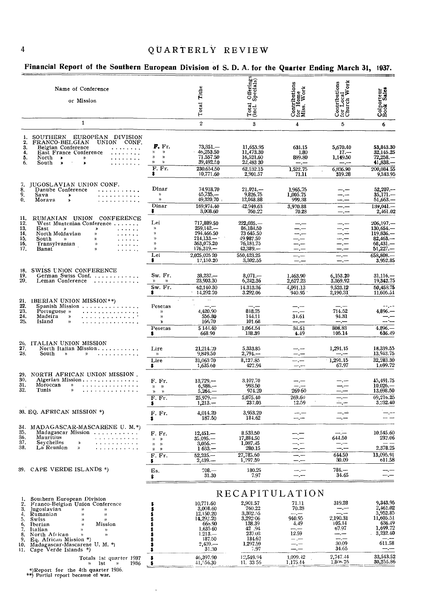| report of the countern European Division of S. D. A. for the Quarter Ending march of,                                                                                                                                                                                                                                                                                                                                                                                                                                                                                                                                    |                                                                                  |                                                                                                               |                                                                                                      |                                                                                             |                                                               | ,,,,,                                                                                            |
|--------------------------------------------------------------------------------------------------------------------------------------------------------------------------------------------------------------------------------------------------------------------------------------------------------------------------------------------------------------------------------------------------------------------------------------------------------------------------------------------------------------------------------------------------------------------------------------------------------------------------|----------------------------------------------------------------------------------|---------------------------------------------------------------------------------------------------------------|------------------------------------------------------------------------------------------------------|---------------------------------------------------------------------------------------------|---------------------------------------------------------------|--------------------------------------------------------------------------------------------------|
| Name of Conference<br>or Mission                                                                                                                                                                                                                                                                                                                                                                                                                                                                                                                                                                                         |                                                                                  | Tithe                                                                                                         | Offerings<br>Specials)                                                                               | $\begin{array}{ll} \mbox{Contribution} \\ \mbox{for Home} \\ \mbox{Miss. Work} \end{array}$ | Contributions<br>for Local<br>Church Work                     | Colporteur<br>Book Sales                                                                         |
|                                                                                                                                                                                                                                                                                                                                                                                                                                                                                                                                                                                                                          |                                                                                  | Total                                                                                                         | Total<br>(Incl.                                                                                      |                                                                                             |                                                               |                                                                                                  |
| $\mathbf{1}$                                                                                                                                                                                                                                                                                                                                                                                                                                                                                                                                                                                                             |                                                                                  | $\boldsymbol{2}$                                                                                              | 3                                                                                                    | $\overline{\mathbf{4}}$                                                                     | 5                                                             | 6                                                                                                |
| 1. SOUTHERN EUROPEAN DIVISION<br>FRANCO-BELGIAN<br>2.<br>UNION CONF.<br>3.<br>Belgian Conference<br>4.<br>East France Conference<br>5.<br>North $\rightarrow$<br>»<br>.<br>6.<br>South<br>$\rightarrow$<br>$\bullet$<br>.                                                                                                                                                                                                                                                                                                                                                                                                | F. Fr.<br>y)<br>$\gamma$<br>Y)<br>$\gamma$<br>y)<br>$\gamma$<br>F. Fr.<br>\$     | $73,351,-$<br>46,253.50<br>71,557.50<br>39,492.50<br>230,654,50<br>10,771.60                                  | 11,653.95<br>11,473.30<br>16,521.60<br>22,483 30<br>62.132.15<br>2,901.57                            | 631.15<br>1.80<br>889.80<br>---.---<br>1,522.75<br>71.11                                    | 5,670.40<br>$17 -$<br>1,149.50<br>سب سد<br>6,836.90<br>319.28 | 53,843.30<br>32,145.25<br>72,258.<br>$41,838-$<br>200,084.55<br>9,343.95                         |
| JUGOSLAVIAN UNION CONF.<br>$\frac{7}{8}$<br>Danube Conference<br>. <b>.</b><br>9.<br>Sava<br>.<br>$\blacktriangleright$<br>0.<br>Moraya<br>. <i>.</i><br>X,                                                                                                                                                                                                                                                                                                                                                                                                                                                              | Dinar<br>$\mathcal{V}$<br>$\boldsymbol{\mathcal{V}}$<br>Dinar<br>\$              | 74,918.70<br>45,735<br>49,320.70<br>169,974,40<br>3,008.60                                                    | $21,074-$<br>9,826.75<br>12,048.88<br>42.949.63<br>760.22                                            | 1,965.75<br>1,005.75<br>999.38<br>3,970.88<br>70.28                                         | —.—<br>--.--<br>—. —<br>— , —                                 | $52,207-$<br>$35,171-$<br>$51,663-$<br>$139.041-$<br>2,461.02                                    |
| RUMANIAN UNION CONFERENCE<br>11.<br>12.<br>West Muntenian Conference<br>13.<br>East<br>y,<br>$\gg$<br>$\begin{array}{cccccccccccccc} \bullet & \bullet & \bullet & \bullet & \bullet & \bullet & \bullet & \bullet \end{array}$<br>14.<br>North Moldavian<br>))<br>1.1.1.1.1<br>15.<br>South<br>$\mathcal{V}$<br>$\rightarrow$<br>$\mathbf{v}$ , and $\mathbf{v}$ , and $\mathbf{v}$<br>16.<br>Transylvanian<br>$\mathcal{Y}$<br>$\mathbf{r}$ , and $\mathbf{r}$ , and $\mathbf{r}$<br>17.<br>Banat<br>$\mathbf{h}$<br>$\mathbf{1} \cdot \mathbf{1} \cdot \mathbf{1} \cdot \mathbf{1} \cdot \mathbf{1} \cdot \mathbf{1}$ | Lei<br>$\mathcal{V}$<br>Y)<br>$\mathfrak{p}$<br>))<br>$\mathcal{V}$<br>Lei<br>\$ | 717,889.50<br>$259.142-$<br>294,466.50<br>$214,133-$<br>363,075.20<br>$176,319-$<br>2,025,025 20<br>12,150.20 | $222,035. -$<br>86,184,50<br>73 645.50<br>49.987.50<br>76.181.75<br>42,389<br>550,423.25<br>3,302.55 | --.-<br>----<br>—. —<br>$-\frac{1}{2}$                                                      | —.—<br>$-,-$<br>$-,-$                                         | $206,197-$<br>130,654.<br>119.836<br>$82,463-$<br>$68,431-$<br>$51,227-$<br>658,808.<br>3,952.85 |
| SWISS UNION CONFERENCE<br>18.<br>19.<br>German Swiss Conf.<br>20.<br>Leman Conference<br>.                                                                                                                                                                                                                                                                                                                                                                                                                                                                                                                               | Sw. Fr.<br>$\mathcal{V}$<br>$\boldsymbol{v}$<br>Sw. Fr.<br>\$                    | 38.237.-<br>23,903.30<br>62.140.30<br>14,292.20                                                               | $8,071-$<br>6,242.36<br>14.313.36<br>3.292.06                                                        | 1,463.90<br>2,627.23<br>4,091.13<br>940.95                                                  | 6,153.20<br>3,369.92<br>9.523.12<br>2,190.31                  | $31,116, -$<br>19,342.75<br>50,458.75<br>11,605.51                                               |
| 21,<br><b>IBERIAN UNION MISSION**</b> )<br>Spanish Mission<br>22.<br>23.<br>Portuguese »<br>.<br>24.<br>Madeira<br>.<br>$\boldsymbol{\mathcal{D}}$<br>25.<br>Island<br>.<br>))                                                                                                                                                                                                                                                                                                                                                                                                                                           | Pesetas<br>$\mathcal{V}$<br>$\gamma$<br>$\lambda$<br>Pesetas<br>\$               | 4,420.90<br>556.80<br>166.70<br>5 144.40<br>668.90                                                            | 818.75<br>144.11<br>101.68<br>1,064.54<br>138.39                                                     | —.—<br>$-,-$<br>31.61<br>--.--<br>34.61<br>4.49                                             | 714.52<br>94.31<br>$ -$<br>808.83<br>105.14                   | 4.896.-<br>$4,896-$<br>636.49                                                                    |
| 26.<br>ITALIAN UNION MISSION<br>27,<br>North Italian Mission.<br>28.<br>South<br>$\boldsymbol{\mathcal{Y}}$<br>$\mathcal{V}$<br>.                                                                                                                                                                                                                                                                                                                                                                                                                                                                                        | Lire<br>${\mathcal W}$<br>Lire<br>\$                                             | 21,214.20<br>9,849.50<br>$31,063\sqrt{70}$<br>1,635.60                                                        | 5,333.85<br>$2,794-$<br>8,127.85<br>427.94                                                           | $-$ . $-$<br>—.—<br>للسراسة<br>$-$ . $-$                                                    | 1,291.15<br>سب ب<br>1,291.15<br>67.97                         | 18,339.55<br>13,943.75<br>32,283.30<br>1,699.72                                                  |
| 29.<br>NORTH AFRICAN UNION MISSION.<br>30.<br>Algerian Mission<br>31.<br>Moroccan<br>n<br>32.<br>Tunis<br>.<br>$\mathcal{V}$                                                                                                                                                                                                                                                                                                                                                                                                                                                                                             | F. Fr.<br>$y = y$<br>$y \rightarrow$<br>F. Fr.<br>\$.                            | 13,729<br>$6,986-$<br>$5,264-$<br>$25,979-$<br>$1,213-$                                                       | 3,107.70<br>993.50<br>974.20<br>5,075.40<br>237.03                                                   | -- -<br>— <u>—</u><br>269 60<br>269.60<br>12.59                                             |                                                               | 45,491.75<br>10,026.<br>13,698.50<br>69,216.25<br>3,232.40                                       |
| 33. EQ. AFRICAN MISSION *)                                                                                                                                                                                                                                                                                                                                                                                                                                                                                                                                                                                               | F. Fr.<br>\$                                                                     | 4,014.20<br>187.50                                                                                            | 3.953.20<br>184.62                                                                                   | ---                                                                                         | —. —                                                          |                                                                                                  |
| MADAGASCAR-MASCARENE U. M.*)<br>34.<br>35.<br>Madagascar Mission<br>36.<br>Mauritius<br>37.<br>Seychelles<br>≫<br>2.12.111<br>38.<br>La Reunion<br>Σ<br>.                                                                                                                                                                                                                                                                                                                                                                                                                                                                | F. Fr.<br>$n \gg$<br>n.<br>$\mathcal{D}$<br>$n \rightarrow$<br>F. Fr.            | $12,451-$<br>$35,095. -$<br>$3,056-$<br>$1633 -$<br>$52,235-$                                                 | 8.533.50<br>17,884.50<br>1,087.45<br>280.15<br>27,785.60                                             | — , —                                                                                       | 644.50<br>---<br>$---, ---$<br>644.50                         | 10.545.60<br>232.06<br>2,378.25<br>13,095.91                                                     |
| 39. CAPE VERDE ISLANDS *)                                                                                                                                                                                                                                                                                                                                                                                                                                                                                                                                                                                                | \$<br>Es.<br>\$                                                                  | $2,439. -$<br>$708 -$<br>31.30                                                                                | 1,297.59<br>180.25<br>7.97                                                                           | —.—<br>— .—<br>-.-                                                                          | 30.09<br>$784 -$<br>34.65                                     | o11.58<br>---                                                                                    |

### Financial Report of the Southern European Division of S. D. A. for the Quarter Ending March 31, 1937.

|    |                                                                |                       |                      | RECAPILULATION      |                      |                        |
|----|----------------------------------------------------------------|-----------------------|----------------------|---------------------|----------------------|------------------------|
|    | Southern European Division<br>Franco-Belgian Union Conference  | 10.771.60             | 2,901.57             | 71.11               | 319.28               | 9.343.95<br>2,461.02   |
| 3. | Jugoslavian<br>n.<br>Rumanian<br>$\mathcal{V}$<br>$\mathbf{v}$ | 3,008.60<br>12.150.20 | 760.22<br>3,302.55   | 70.28               | —. —<br>—. —         | 3,952.85               |
| 5. | Swiss<br>$\lambda$<br>Mission<br>Iberian<br>$\mathcal{V}$      | 14.292.20<br>665.90   | 3,292:06<br>138.39   | 940.95<br>4.49      | 2.190.31<br>105.14   | 11,605.51<br>636.49    |
| 8. | Italian<br>$\mathcal{V}$<br>North African<br>$\mathbf{v}$      | 1.635 60<br>$1.213 -$ | 42.94<br>237.03      | 12.59               | 67.97                | 1,699.72<br>3.232.40   |
|    | 9. Eq. African Mission *)<br>10. Madagascar-Mascarene U. M. *) | 187.50<br>2,439       | 184.62<br>1,297.59   |                     | —.—<br>30.09         | —.—<br>611.58          |
|    | 11. Cape Verde Islands *)                                      | 31.30                 | 7.97                 |                     | 34.65                |                        |
|    | Totals 1st quarter 1937<br>1936<br>1st<br>>>                   | 46,397.90<br>41.56.30 | 12.549.94<br>11.3356 | 1.099.42<br>.175.44 | 2.747.44<br>1.806 75 | 33.543.52<br>30.255.86 |

 $\hat{\theta}$ 

\*)Report for the 4th quarter 1936.<br>\*\*) Partial report because of war.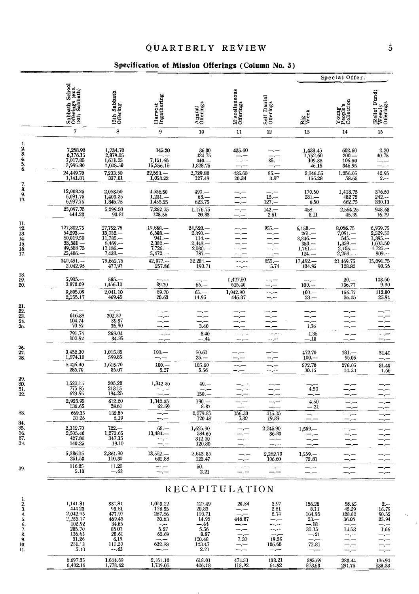## QUARTERLY REVIEW

## Specification of Mission Offerings (Column No. 3)

|                                                                  |                                                                                                     |                                                                                           |                                                                                                 |                                                                                        |                                          |                                                                                                                                                                                           |                                                                                             | Special Offer.                                                                         |                                                                     |
|------------------------------------------------------------------|-----------------------------------------------------------------------------------------------------|-------------------------------------------------------------------------------------------|-------------------------------------------------------------------------------------------------|----------------------------------------------------------------------------------------|------------------------------------------|-------------------------------------------------------------------------------------------------------------------------------------------------------------------------------------------|---------------------------------------------------------------------------------------------|----------------------------------------------------------------------------------------|---------------------------------------------------------------------|
|                                                                  | Sabbath School<br>Offerings (exc.<br>13th Sabbath)                                                  | 13th Sabbath<br>Offering                                                                  | Harvest<br>Ingathering                                                                          | Annual<br>Offerings                                                                    | Miscellaneous<br>Offerings               | Self Denial<br>Offerings                                                                                                                                                                  | Big<br>Week                                                                                 | Young<br>People's<br>Collection                                                        | (Relief Fund)<br>Weekly<br>Offerings                                |
|                                                                  | 7                                                                                                   | 8                                                                                         | 9                                                                                               | 10                                                                                     | 11                                       | 12                                                                                                                                                                                        | 13                                                                                          | 14                                                                                     | 15                                                                  |
| 1.<br>2.<br>3.<br>4.<br>5.<br>6.                                 | 7,258.90<br>6,176.15<br>7,017.85<br>3,996.80<br>24,449.70                                           | $\begin{array}{c} 1,734.70 \\ 2,879.05 \\ 1,611.25 \end{array}$<br>1,008.50               | 145.20<br>7,151.65<br>15,256.15                                                                 | 36.30<br>424,75<br>$440 -$<br>1,828.75                                                 | 435.60                                   | $\overline{85}$ .                                                                                                                                                                         | 1,438.45<br>1,752.60<br>109.35<br>46.15                                                     | 602.60<br>$200--$<br>106.50<br>346.95                                                  | 2.20<br>40.75                                                       |
| 7.                                                               | 1,141.81                                                                                            | 7,233.50<br>337.81                                                                        | $22,553$<br>1,053.22                                                                            | 2,729.80<br>127.49                                                                     | $\substack{435.60\\20.34}$               | $85 -$<br>3.97                                                                                                                                                                            | 3,346.55<br>156.28                                                                          | 1.256.05<br>58.65                                                                      | 42.95<br>$2. - -$                                                   |
| 8.<br>9.<br>19.                                                  | 12,008.25<br>6,091.75<br>6,997.75                                                                   | $2,053.50$<br>$1,400.25$<br>1,845.75                                                      | 4,556.50<br>1,251.<br>1,455.25                                                                  | $490. -$<br>$63. - 623.75$                                                             |                                          | $15 -$<br>$127 -$                                                                                                                                                                         | 170.50<br>$281 -$<br>6.50                                                                   | 1,418.75<br>48275<br>662.75                                                            | 376.50<br>$242--$<br>330.13                                         |
|                                                                  | 25,097.75<br>444.23                                                                                 | 5,299.50<br>93.81                                                                         | 7,262.75<br>128.55                                                                              | 1,176.75<br>20.83                                                                      |                                          | $142. -$<br>2.51                                                                                                                                                                          | $458 -$<br>8.11                                                                             | 2,564.25<br>45.39                                                                      | 948.63<br>16.79                                                     |
| u.<br>12.<br>13.<br>$\frac{14}{15}$ .<br>$\frac{15}{16}$ .       | 127,802.75<br>$54,293-$<br>50,019.50<br>$33,381-$<br>49,588.75<br>25,406.-                          | 27,752.75<br>$13,032-$<br>$11,785-$<br>$8,469-$<br>$11,186-$<br>$7,438. -$                | 19,868.<br>$6,588-$<br>941.—<br>$2,382-$<br>$7,726, -$<br>$5,472,-$                             | 24,520.<br>$2,390. -$<br>$114. -$<br>$2,443-$<br>$2,030-$<br>787.—                     |                                          | $955. -$                                                                                                                                                                                  | $6,150-$<br>$261 -$<br>$8,846-$<br>$^{1,350,-}_{1,761,-}$<br>$124 -$                        | 8,056.75<br>7,091.—<br>$545. -$<br>1,359.<br>$2,165, -$<br>$2,253-$                    | 6,959.75<br>2,529.50<br>1,395.--<br>1,603.50<br>1,725<br>$909. - -$ |
|                                                                  | $340,491$ .<br>2.042.95                                                                             | 79,662.75<br>477.97                                                                       | $42,977--$<br>257.86                                                                            | $32.284 -$<br>193.71                                                                   | --.--<br>--.--                           | $955 -$<br>5.74                                                                                                                                                                           | $17,492, -$<br>$104.95$                                                                     | 21,469.75<br>128.82                                                                    | 15,091.75<br>90.55                                                  |
| $\frac{18}{19}$<br>20.                                           | $5,935-$<br>3,870.09<br>9,805.09<br>2,255.17                                                        | $585 -$<br>1,456.10<br>2,041.10<br>469.45                                                 | 89.70<br>89.70<br>20.63                                                                         | $65 -$<br>$65. - 14.95$                                                                | 1,427.50<br>515.40<br>1,942.90<br>446.87 | $--$<br>--.--                                                                                                                                                                             | $100 -$<br>$100. -$<br>$23 -$                                                               | $20. -$<br>136.77<br>156.77<br>36.05                                                   | 103.50<br>9.30<br>112.80<br>25.94                                   |
| 21.22.23.24.25.                                                  | 616.38<br>104.74<br>70.62<br><b>791.74</b><br>102.92                                                | 202.37<br>39.37<br>26.30<br>268.04<br>34.85                                               |                                                                                                 | 3.40<br>3.40<br>$-.44$                                                                 |                                          | -----                                                                                                                                                                                     | 1.36<br>1.36                                                                                | --.--                                                                                  |                                                                     |
| $\frac{26}{27}$ .<br>28.                                         |                                                                                                     |                                                                                           | $100 -$                                                                                         | 80.60                                                                                  |                                          | --.--                                                                                                                                                                                     | $-.18$                                                                                      | —.—<br>$181 -$                                                                         | 31.40                                                               |
|                                                                  | 3,452.30<br>1,974.10<br>5,426.40                                                                    | $\substack{1,015.85 \\ 599.85}$<br>1,615.70                                               | $100 -$                                                                                         | $25 -$<br>105.60                                                                       |                                          |                                                                                                                                                                                           | $^{472.70}_{100}$<br>572.70                                                                 | 95.05<br>276.05                                                                        | --.---<br>31.40                                                     |
| 29.<br>30.<br>$\frac{31}{32}$                                    | 285.70<br>$\substack{1,520.15 \\ 775.85}$<br>629.95                                                 | 85.07<br>205.20<br>213.15<br>194.25                                                       | 5.27<br>1,342.35                                                                                | 5.56<br>$40. -$<br>$150 -$                                                             |                                          | --,--                                                                                                                                                                                     | 30.15<br>4.50                                                                               | 14.53                                                                                  | 1.66                                                                |
|                                                                  | 2,925.95<br>136.65                                                                                  | 612.60<br>28,61                                                                           | 1,342.35<br>62.69                                                                               | $190 -$<br>8.87                                                                        | —,—<br>—.—                               |                                                                                                                                                                                           | 4.50<br>$-.21$                                                                              |                                                                                        |                                                                     |
| 33.<br>34.                                                       | 669.35<br>31 26                                                                                     | 132.55<br>6.19                                                                            | —.—                                                                                             | 2,279.85<br>120.48                                                                     | 156.30<br>7.30                           | 415.15<br>19.39                                                                                                                                                                           |                                                                                             | -.--<br>—.—                                                                            |                                                                     |
| 35.<br>36.<br>37.<br>35.                                         | 2,312.70<br>2,505.40<br>427.80<br>140.25                                                            | $722 -$<br>1,273.65<br>347.15<br>19.10                                                    | $68 -$<br>13,484.<br>— ,—                                                                       | 1,625.90<br>584.65<br>312.50<br>120.80                                                 |                                          | 2,245.90<br>36.80<br>—.—<br>$-,-$                                                                                                                                                         | $1,559-$                                                                                    |                                                                                        |                                                                     |
|                                                                  | 5,386.15<br>251.53                                                                                  | 2,361.90<br>110.30                                                                        | $13,552-$<br>632.88                                                                             | 2.643.85<br>123.47                                                                     | —.—<br>—.—                               | 2,282.70<br>106.60                                                                                                                                                                        | 1,559.<br>72.81                                                                             | --.--<br>—,—                                                                           | --.-                                                                |
| 39.                                                              | 116.05<br>5.13                                                                                      | 14.20<br>$-.63$                                                                           | --.-<br>--.--                                                                                   | $50 -$<br>2.21                                                                         |                                          | ---<br>—.—                                                                                                                                                                                | $-$ . $-$<br>$\frac{1}{2}$                                                                  | --.--                                                                                  | $-$ . $-$                                                           |
|                                                                  |                                                                                                     |                                                                                           |                                                                                                 | RECAPITULATION                                                                         |                                          |                                                                                                                                                                                           |                                                                                             |                                                                                        |                                                                     |
| 1.<br>2.<br>3.<br>4.<br>5.<br>6.<br>7.<br>8.<br>9.<br>10.<br>11. | 1,141.81<br>444 23<br>2,042.95<br>2,255.17<br>102.92<br>285.70<br>136.65<br>31.26<br>251.73<br>5.13 | 337.81<br>93.81<br>477.97<br>469.45<br>34.85<br>8507<br>28.61<br>6.19<br>110.30<br>$-.63$ | 1,053.22<br>128.55<br>257.86<br>20.63<br>$-4.4 -$<br>5,27<br>62.69<br>--.---<br>632.83<br>--.-- | 127.49<br>20.83<br>193.71<br>14.95<br>- 44<br>5.56<br>8.87<br>120.48<br>123.47<br>2.21 | 20.34<br>446.87<br>7.30<br>—,—<br>—,—    | 3.97<br>2.51<br>5.74<br>—.—<br>--.--<br>--,--<br>and part of the second second and content to the second second and content to the second second and content to<br>19.39<br>106.60<br>--- | 156.28<br>8.11<br>104.95<br>$23 -$<br>-- 18<br>30.15<br>$-.21$<br>$-$ . $-$<br>72.81<br>—.— | 58.65<br>45.39<br>128.82<br>36.05<br>$-$ . $-$<br>14.53<br>--.--<br>---<br>-- -<br>—.— | $2, - -$<br>16.79<br>90.55<br>25.94<br>1.66<br>-.—<br>-.--          |
|                                                                  | 6,697.35<br>6,402.16                                                                                | 1,644.69<br>1,778.62                                                                      | 2,161.10<br>1,739.05                                                                            | 618.01<br>426.18                                                                       | 474.51<br>118.92                         | 138.21<br>64.92                                                                                                                                                                           | 395.69<br>873.63                                                                            | 283.44<br>291.75                                                                       | 136.94<br>138.33                                                    |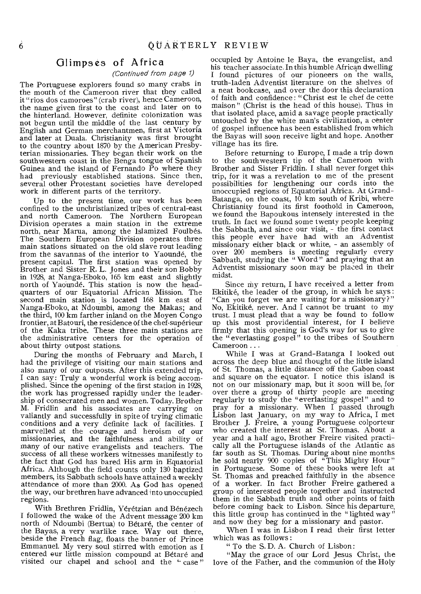### Glimpses of Africa

#### (Continued from page 1)

The Portuguese explorers found so many crabs in the mouth of the Cameroon river that they called it "rios dos camoroes" (crab river), hence Cameroon, the name given first to the coast and later on to the hinterland. However, definite colonization was not begun until the middle of the last century by English and German merchantmen, first at Victoria and later at Duala. Christianity was first brought to the country about 1870 by the American Presbyterian missionaries. They began their work on the southwestern coast in the Benga tongue of Spanish Guinea and the island of Fernando Po where they had previously established stations. Since then, several other Protestant societies have developed work in different parts of the territory.

Up to the present time, our work has been confined to the unchristianized tribes of central-east and north Cameroon. The Northern European Division operates a main station in the extreme north, near Marua, among the Islamized Foulbés. The Southern European Division operates three main stations situated on the old slave rout leading from the savannas of the interior to Yaounde, the present capital. The first station was opened by Brother and Sister R. L. Jones and their son Bobby in 1928, at Nanga-Eboko, 165 km east and slightly north of Yaounde. This station is now the headquarters of our Equatorial African Mission. The second main station is located 168 km east of Nanga-Eboko, at Ndoumbi, among the Makas; and the third, 100 km farther inland on the Moyen Congo frontier, at Batouri, the residence of the chef-superieur of the Kaka tribe. These three main stations are the administrative centers for the operation of about thirty outpost stations.

During the months of February and March, I had the privilege of visiting our main stations and also many of our outposts. After this extended trip, I can say: Truly a wonderful work is being accomplished. Since the opening of the first station in 1928, the work has progressed rapidly under the leadership of consecrated men and women. Today. Brother M. Fridlin and his associates are carrying on valiantly and successfully in spite of trying climatic conditions and a very definite lack of facilities. I marvelled at the courage and heroism of our missionaries, and the faithfulness and ability of many of our native evangelists and teachers. The success of all these workers witnesses manifestly to the fact that God has bared His arm in Equatorial Africa. Although the field counts only 130 baptized members, its Sabbath schools have attained a weekly attendance of more than 2000. As God has opened the way, our brethren have advanced into unoccupied regions.

With Brethren Fridlin, Yérétzian and Bénézech I followed the wake of the Advent message 200 km north of Ndoumbi (Bertua) to Betare, the center of the Bayas, a very warlike race. Way out there, beside the French flag, floats the banner of Prince Emmanuel. My very soul stirred with emotion as I entered our little mission compound at Betare and visited our chapel and school and the "case" occupied by Antoine le Baya, the evangelist, and his teacher associate. In this humble African dwelling I found pictures of our pioneers on the walls, truth-laden Adventist literature on the shelves of a neat bookcase, and over the door this declaration of faith and confidence : "Christ est le chef de cette maison" (Christ is the head of this house). Thus in that isolated place, amid a savage people practically untouched by the white man's civilization, a center of gospel influence has been established from which the Bayas will soon receive light and hope. Another village has its fire.

Before returning to Europe, I made a trip down to the southwestern tip of the Cameroon with Brother and Sister Fridlin. I shall never forget this trip, for it was a revelation to me of the present possibilities for lengthening our cords into the unoccupied regions of Equatorial Africa. At Grand-Batanga, on the coast, 10 km south of Kribi, where Christianity found its first foothold in Cameroon, we found the Bapoukous intensely interested in the truth. In fact we found some twenty people keeping the Sabbath, and since our visit, - the first contact this people ever have had with an Adventist missionary either black or white, - an assembly of over 200 members is meeting regularly every Sabbath, studying the "Word" and praying that an Adventist missionary soon may be placed in their midst.

Since my return, I have received a letter from Ekitike, the leader of the group, in which he says : "Can you forget we are waiting for a missionary?" No, Ekitike, never. And I cannot be truant to my trust. I must plead that a way be found to follow up this most providential interest, for I believe firmly that this opening is God's way for us to give the "everlasting gospel" to the tribes of Southern Cameroon ...

While I was at Grand-Batanga I looked out across the deep blue and thought of the little island of St. Thomas, a little distance off the Gabon coast and square on the equator. I notice this island is not on our missionary map, but it soon will be, for over there a group of thirty people are meeting regularly to study the "everlasting gospel" and to pray for a missionary. When I passed through Lisbon last January, on my way to Africa, I met Brother J. Freire, a young Portuguese colporteur who created the interest at St. Thomas. About a year and a half ago, Brother Freire visited practically all the Portuguese islands of the Atlantic as far south as St. Thomas. During about nine months he sold nearly 900 copies of "This Mighty Hour" in Portuguese. Some of these books were left at St. Thomas and preached faithfully in the absence of a worker. In fact Brother Freire gathered a group of interested people together and instructed them in the Sabbath truth and other points of faith before coming back to Lisbon. Since his departure, this little group has continued in the "lighted way" and now they beg for a missionary and pastor.

When I was in Lisbon I read their first letter which was as follows :

" To the S. D. A. Church of Lisbon:

"May the grace of our Lord Jesus Christ, the love of the Father, and the communion of the Holy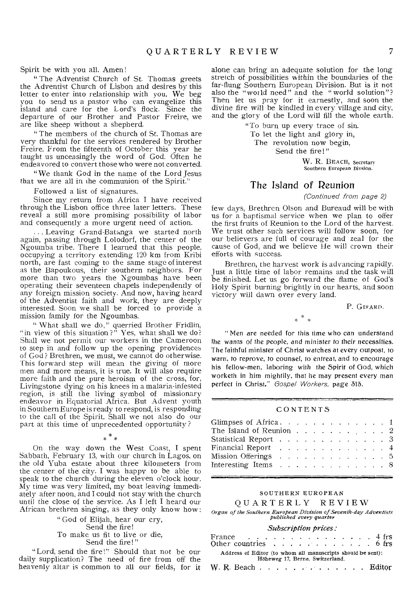Spirit be with you all. Amen!

" The Adventist Church of St. Thomas greets the Adventist Church of Lisbon and desires by this letter to enter into relationship with you. We beg you to send us a pastor who can evangelize this island and care for the Lord's flock. Since the departure of our Brother and Pastor Freire, we are like sheep without a shepherd.

" The members of the church of St. Thomas are very thankful for the services rendered by Brother Freire. From the fifteenth of October this year he taught us unceasingly the word of God. Often he endeavored to convert those who were not converted.

"We thank God in the name of the Lord Jesus that we are all in the communion of the Spirit."

Followed a list of signatures.

Since my return from Africa I have received through the Lisbon office three later letters. These reveal a still more promising possibility of labor and consequently a more urgent need of action.

... Leaving Grand-Batanga we started north again, passing through Lolodorf, the center of the Ngoumba tribe. There I learned that this people, occupying a territory extending 120 km from Kribi north, are fast coming to the same stage of interest as the Bapoukous, their southern neighbors. For more than two years the Ngoumbas have been operating their seventeen chapels independently of any foreign mission society. And now, having heard of the Adventist faith and work, they are deeply interested. Soon we shall be forced to provide a mission family for the Ngoumbas.

" What shall we do," querried Brother Fridlin, "in view of this situation?" Yes, what shall we do? Shall we not permit our workers in the Cameroon to step in and follow up the opening providences of God? Brethren, we must, we cannot do otherwise. This forward step will mean the giving of more men and more means, it is true. It will also require more faith and the pure heroism of the cross, for, Livingstone dying on his knees in a malaria-infested region, is still the living symbol of missionary endeavor in Equatorial Africa. But Advent youth in Southern Europe is ready to respond, is responding to the call of the Spirit. Shall we not also do our part at this time of unprecedented opportunity ?

 $*$   $*$ 

On the way down the West Coast, I spent Sabbath, February 13, with our church in Lagos, on the old Yuba estate about three kilometers from the center of the city. I was happy to be able to speak to the church during the eleven o'clock hour. My time was very limited, my boat leaving immediately after noon, and I could not stay with the church until the close of the service. As I left I heard our African brethren singing, as they only know how:

> " God of Elijah, hear our cry, Send the fire! To make us fit to live or die, Send the fire!"

"Lord, send the fire!" Should that not be our daily supplication? The need of fire from off the heavenly altar is common to all our fields, for it alone can bring an adequate solution for the long stretch of possibilities within the boundaries of the far-flung Southern European Division. But is it not also the "world need" and the "world solution"? Then let us pray for it earnestly, and soon the divine fire will be kindled in every village and city, and the glory of the Lord will fill the whole earth.

> "To burn up every trace of sin. To let the light and glory in, The revolution now begin,

Send the fire!"

W. R. BEACH, Secretary Southern European Divsion.

### The Island of Reunion

(Continued from page 2)

few days, Brethren Olson and Bureaud will be with us for a baptismal service when we plan to offer the first fruits of Reunion to the Lord of the harvest. We trust other such services will follow soon, for our believers are full of courage and zeal for the cause of God, and we believe He will crown their efforts with success.

Brethren, the harvest work is advancing rapidly. Just a little time of labor remains and the task will be finished. Let us go forward the flame of God's Holy Spirit burning brightly in our hearts, and soon victory will dawn over every land.

P. GIRARD.

" Men are needed for this time who can understand the wants of the people, *and* minister to their necessities. The faithful minister of Christ watches at every outpost, to warn, to reprove, to counsel, to entreat, and to encourage his fellow-men, laboring with the Spirit of God, which worketh in him mightily, that he may present every man perfect in Christ." Gospel Workers, page 515.

#### CONTENTS

| Glimpses of Africa. 1                                             |  |  |  |  |  |  |
|-------------------------------------------------------------------|--|--|--|--|--|--|
| The Island of Reunion $\dots$ $\dots$ $\dots$ $\dots$ $\dots$ $2$ |  |  |  |  |  |  |
| Statistical Report 3                                              |  |  |  |  |  |  |
| Financial Report 4                                                |  |  |  |  |  |  |
| Mission Offerings 5                                               |  |  |  |  |  |  |
| Interesting Items $\ldots$ 8                                      |  |  |  |  |  |  |
|                                                                   |  |  |  |  |  |  |

#### SOUTHERN EUROPEAN

#### QUARTERLY REVIEW

*Organ of the Southern European Division of Seventh-day Adventists published every quarter* 

#### *Subscription prices:*

| France $\ldots$ , $\ldots$ , $\ldots$ , $\ldots$ , $\qquad$ 4 frs                              |  |  |  |  |  |  |  |  |  |  |  |  |  |  |
|------------------------------------------------------------------------------------------------|--|--|--|--|--|--|--|--|--|--|--|--|--|--|
| Other countries $\ldots$ 6 frs                                                                 |  |  |  |  |  |  |  |  |  |  |  |  |  |  |
| Address of Editor (to whom all manuscripts should be sent):<br>Höheweg 17, Berne, Switzerland. |  |  |  |  |  |  |  |  |  |  |  |  |  |  |
|                                                                                                |  |  |  |  |  |  |  |  |  |  |  |  |  |  |